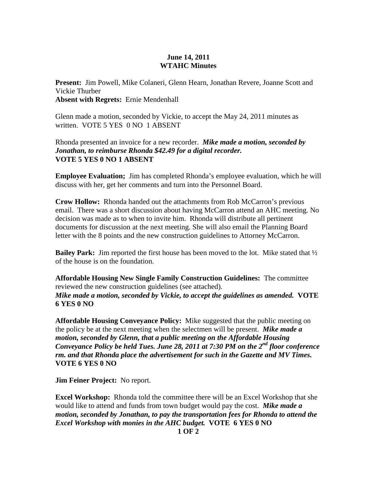## **June 14, 2011 WTAHC Minutes**

**Present:** Jim Powell, Mike Colaneri, Glenn Hearn, Jonathan Revere, Joanne Scott and Vickie Thurber **Absent with Regrets:** Ernie Mendenhall

Glenn made a motion, seconded by Vickie, to accept the May 24, 2011 minutes as written. VOTE 5 YES 0 NO 1 ABSENT

Rhonda presented an invoice for a new recorder. *Mike made a motion, seconded by Jonathan, to reimburse Rhonda \$42.49 for a digital recorder.*  **VOTE 5 YES 0 NO 1 ABSENT** 

**Employee Evaluation;** Jim has completed Rhonda's employee evaluation, which he will discuss with her, get her comments and turn into the Personnel Board.

**Crow Hollow:** Rhonda handed out the attachments from Rob McCarron's previous email. There was a short discussion about having McCarron attend an AHC meeting. No decision was made as to when to invite him. Rhonda will distribute all pertinent documents for discussion at the next meeting. She will also email the Planning Board letter with the 8 points and the new construction guidelines to Attorney McCarron.

**Bailey Park:** Jim reported the first house has been moved to the lot. Mike stated that ½ of the house is on the foundation.

**Affordable Housing New Single Family Construction Guidelines:** The committee reviewed the new construction guidelines (see attached). *Mike made a motion, seconded by Vickie, to accept the guidelines as amended.* **VOTE 6 YES 0 NO** 

**Affordable Housing Conveyance Policy:** Mike suggested that the public meeting on the policy be at the next meeting when the selectmen will be present. *Mike made a motion, seconded by Glenn, that a public meeting on the Affordable Housing Conveyance Policy be held Tues. June 28, 2011 at 7:30 PM on the 2nd floor conference rm. and that Rhonda place the advertisement for such in the Gazette and MV Times.*  **VOTE 6 YES 0 NO** 

**Jim Feiner Project:** No report.

**Excel Workshop:** Rhonda told the committee there will be an Excel Workshop that she would like to attend and funds from town budget would pay the cost. *Mike made a motion, seconded by Jonathan, to pay the transportation fees for Rhonda to attend the Excel Workshop with monies in the AHC budget.* **VOTE 6 YES 0 NO**